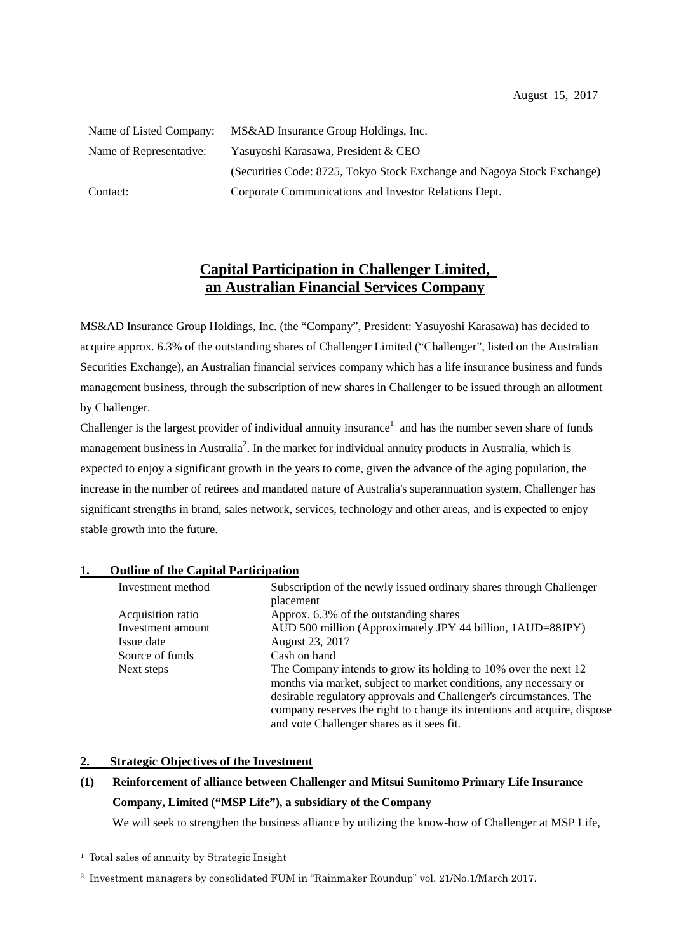| Name of Listed Company: | MS&AD Insurance Group Holdings, Inc.                                    |
|-------------------------|-------------------------------------------------------------------------|
| Name of Representative: | Yasuyoshi Karasawa, President & CEO                                     |
|                         | (Securities Code: 8725, Tokyo Stock Exchange and Nagoya Stock Exchange) |
| Contact:                | Corporate Communications and Investor Relations Dept.                   |

# **Capital Participation in Challenger Limited, an Australian Financial Services Company**

MS&AD Insurance Group Holdings, Inc. (the "Company", President: Yasuyoshi Karasawa) has decided to acquire approx. 6.3% of the outstanding shares of Challenger Limited ("Challenger", listed on the Australian Securities Exchange), an Australian financial services company which has a life insurance business and funds management business, through the subscription of new shares in Challenger to be issued through an allotment by Challenger.

Challenger is the largest provider of individual annuity insurance<sup>1</sup> and has the number seven share of funds management business in Australia<sup>2</sup>. In the market for individual annuity products in Australia, which is expected to enjoy a significant growth in the years to come, given the advance of the aging population, the increase in the number of retirees and mandated nature of Australia's superannuation system, Challenger has significant strengths in brand, sales network, services, technology and other areas, and is expected to enjoy stable growth into the future.

| 1. | <b>Outline of the Capital Participation</b> |  |  |  |
|----|---------------------------------------------|--|--|--|
|    |                                             |  |  |  |

| Investment method | Subscription of the newly issued ordinary shares through Challenger      |
|-------------------|--------------------------------------------------------------------------|
|                   | placement                                                                |
| Acquisition ratio | Approx. 6.3% of the outstanding shares                                   |
| Investment amount | AUD 500 million (Approximately JPY 44 billion, 1AUD=88JPY)               |
| Issue date        | August 23, 2017                                                          |
| Source of funds   | Cash on hand                                                             |
| Next steps        | The Company intends to grow its holding to 10% over the next 12          |
|                   | months via market, subject to market conditions, any necessary or        |
|                   | desirable regulatory approvals and Challenger's circumstances. The       |
|                   | company reserves the right to change its intentions and acquire, dispose |
|                   | and vote Challenger shares as it sees fit.                               |

#### **2. Strategic Objectives of the Investment**

## **(1) Reinforcement of alliance between Challenger and Mitsui Sumitomo Primary Life Insurance Company, Limited ("MSP Life"), a subsidiary of the Company**

We will seek to strengthen the business alliance by utilizing the know-how of Challenger at MSP Life,

<sup>1</sup> Total sales of annuity by Strategic Insight

<sup>2</sup> Investment managers by consolidated FUM in "Rainmaker Roundup" vol. 21/No.1/March 2017.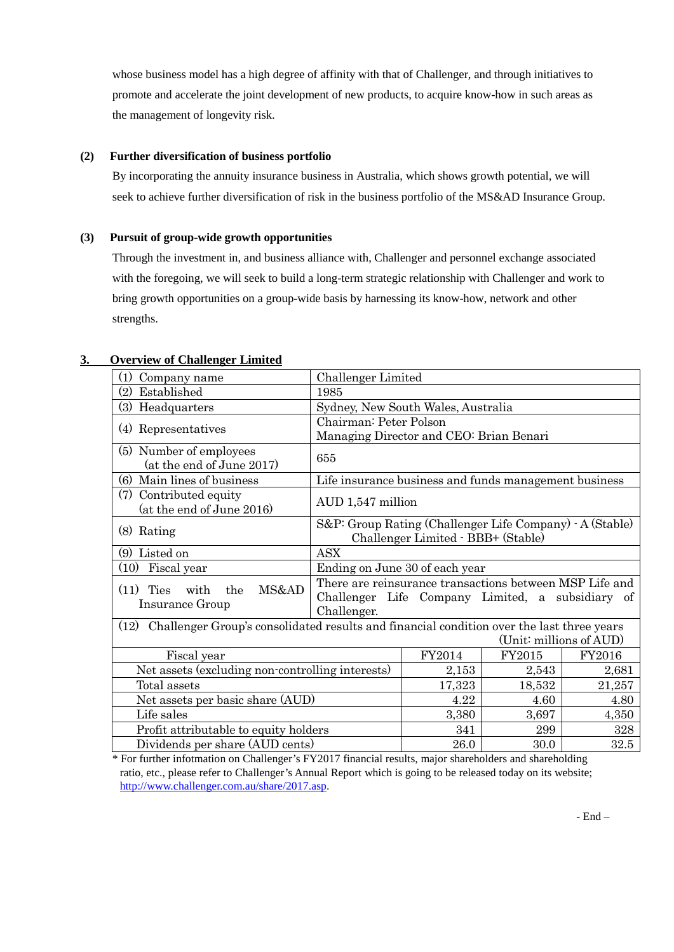whose business model has a high degree of affinity with that of Challenger, and through initiatives to promote and accelerate the joint development of new products, to acquire know-how in such areas as the management of longevity risk.

### **(2) Further diversification of business portfolio**

By incorporating the annuity insurance business in Australia, which shows growth potential, we will seek to achieve further diversification of risk in the business portfolio of the MS&AD Insurance Group.

### **(3) Pursuit of group-wide growth opportunities**

Through the investment in, and business alliance with, Challenger and personnel exchange associated with the foregoing, we will seek to build a long-term strategic relationship with Challenger and work to bring growth opportunities on a group-wide basis by harnessing its know-how, network and other strengths.

| (1)<br>Challenger Limited<br>Company name                                                      |                                                                                                                            |                                    |                         |       |  |  |
|------------------------------------------------------------------------------------------------|----------------------------------------------------------------------------------------------------------------------------|------------------------------------|-------------------------|-------|--|--|
| Established<br>(2)                                                                             | 1985                                                                                                                       |                                    |                         |       |  |  |
| (3) Headquarters                                                                               |                                                                                                                            | Sydney, New South Wales, Australia |                         |       |  |  |
| Representatives<br>(4)                                                                         | Chairman: Peter Polson<br>Managing Director and CEO: Brian Benari                                                          |                                    |                         |       |  |  |
| (5) Number of employees<br>(at the end of June 2017)                                           | 655                                                                                                                        |                                    |                         |       |  |  |
| Main lines of business<br>(6)                                                                  | Life insurance business and funds management business                                                                      |                                    |                         |       |  |  |
| (7)<br>Contributed equity<br>(at the end of June 2016)                                         | AUD 1,547 million                                                                                                          |                                    |                         |       |  |  |
| $(8)$ Rating                                                                                   | S&P: Group Rating (Challenger Life Company) - A (Stable)<br>Challenger Limited · BBB+ (Stable)                             |                                    |                         |       |  |  |
| Listed on<br>(9)                                                                               | <b>ASX</b>                                                                                                                 |                                    |                         |       |  |  |
| $(10)$ Fiscal year                                                                             | Ending on June 30 of each year                                                                                             |                                    |                         |       |  |  |
| MS&AD<br>(11)<br><b>Ties</b><br>with<br>the<br>Insurance Group                                 | There are reinsurance transactions between MSP Life and<br>Challenger Life Company Limited, a subsidiary of<br>Challenger. |                                    |                         |       |  |  |
| (12) Challenger Group's consolidated results and financial condition over the last three years |                                                                                                                            |                                    | (Unit: millions of AUD) |       |  |  |
| Fiscal year                                                                                    | FY2014                                                                                                                     | FY2015                             | FY2016                  |       |  |  |
| Net assets (excluding non-controlling interests)                                               | 2,153                                                                                                                      | 2,543                              | 2,681                   |       |  |  |
| Total assets                                                                                   | 17,323                                                                                                                     | 18,532                             | 21,257                  |       |  |  |
| Net assets per basic share (AUD)                                                               |                                                                                                                            | 4.22                               | 4.60                    | 4.80  |  |  |
| Life sales                                                                                     |                                                                                                                            | 3,380                              | 3,697                   | 4,350 |  |  |
| Profit attributable to equity holders                                                          |                                                                                                                            | 341                                | 299                     | 328   |  |  |
| Dividends per share (AUD cents)                                                                | 26.0                                                                                                                       | 30.0                               | 32.5                    |       |  |  |

### **3. Overview of Challenger Limited**

\* For further infotmation on Challenger's FY2017 financial results, major shareholders and shareholding ratio, etc., please refer to Challenger's Annual Report which is going to be released today on its website; [http://www.challenger.com.au/share/2017.asp.](http://www.challenger.com.au/share/2017.asp)